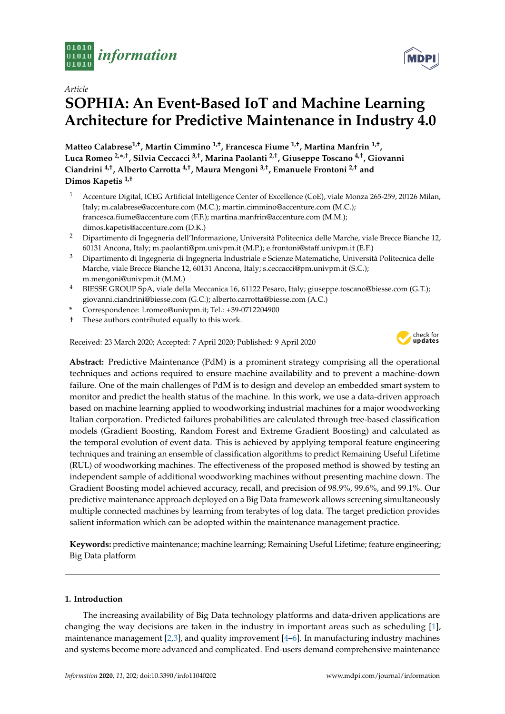



# **SOPHIA: An Event-Based IoT and Machine Learning Architecture for Predictive Maintenance in Industry 4.0**

**Matteo Calabrese1,†, Martin Cimmino 1,†, Francesca Fiume 1,†, Martina Manfrin 1,† , Luca Romeo 2,**∗**,†, Silvia Ceccacci 3,†, Marina Paolanti 2,†, Giuseppe Toscano 4,†, Giovanni Ciandrini 4,†, Alberto Carrotta 4,†, Maura Mengoni 3,†, Emanuele Frontoni 2,† and Dimos Kapetis 1,†**

- <sup>1</sup> Accenture Digital, ICEG Artificial Intelligence Center of Excellence (CoE), viale Monza 265-259, 20126 Milan, Italy; m.calabrese@accenture.com (M.C.); martin.cimmino@accenture.com (M.C.); francesca.fiume@accenture.com (F.F.); martina.manfrin@accenture.com (M.M.); dimos.kapetis@accenture.com (D.K.)
- <sup>2</sup> Dipartimento di Ingegneria dell'Informazione, Università Politecnica delle Marche, viale Brecce Bianche 12, 60131 Ancona, Italy; m.paolanti@pm.univpm.it (M.P.); e.frontoni@staff.univpm.it (E.F.)
- <sup>3</sup> Dipartimento di Ingegneria di Ingegneria Industriale e Scienze Matematiche, Università Politecnica delle Marche, viale Brecce Bianche 12, 60131 Ancona, Italy; s.ceccacci@pm.univpm.it (S.C.); m.mengoni@univpm.it (M.M.)
- <sup>4</sup> BIESSE GROUP SpA, viale della Meccanica 16, 61122 Pesaro, Italy; giuseppe.toscano@biesse.com (G.T.); giovanni.ciandrini@biesse.com (G.C.); alberto.carrotta@biesse.com (A.C.)
- **\*** Correspondence: l.romeo@univpm.it; Tel.: +39-0712204900
- † These authors contributed equally to this work.

Received: 23 March 2020; Accepted: 7 April 2020; Published: 9 April 2020



**Abstract:** Predictive Maintenance (PdM) is a prominent strategy comprising all the operational techniques and actions required to ensure machine availability and to prevent a machine-down failure. One of the main challenges of PdM is to design and develop an embedded smart system to monitor and predict the health status of the machine. In this work, we use a data-driven approach based on machine learning applied to woodworking industrial machines for a major woodworking Italian corporation. Predicted failures probabilities are calculated through tree-based classification models (Gradient Boosting, Random Forest and Extreme Gradient Boosting) and calculated as the temporal evolution of event data. This is achieved by applying temporal feature engineering techniques and training an ensemble of classification algorithms to predict Remaining Useful Lifetime (RUL) of woodworking machines. The effectiveness of the proposed method is showed by testing an independent sample of additional woodworking machines without presenting machine down. The Gradient Boosting model achieved accuracy, recall, and precision of 98.9%, 99.6%, and 99.1%. Our predictive maintenance approach deployed on a Big Data framework allows screening simultaneously multiple connected machines by learning from terabytes of log data. The target prediction provides salient information which can be adopted within the maintenance management practice.

**Keywords:** predictive maintenance; machine learning; Remaining Useful Lifetime; feature engineering; Big Data platform

# **1. Introduction**

The increasing availability of Big Data technology platforms and data-driven applications are changing the way decisions are taken in the industry in important areas such as scheduling [\[1\]](#page-14-0), maintenance management  $[2,3]$  $[2,3]$ , and quality improvement  $[4-6]$  $[4-6]$ . In manufacturing industry machines and systems become more advanced and complicated. End-users demand comprehensive maintenance

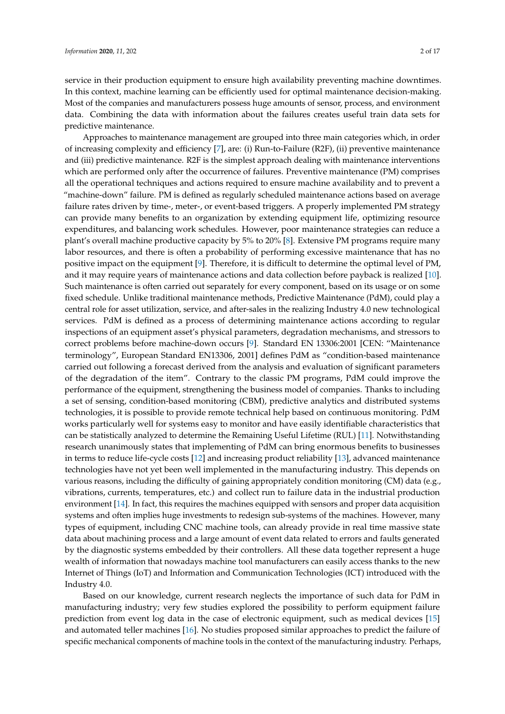service in their production equipment to ensure high availability preventing machine downtimes. In this context, machine learning can be efficiently used for optimal maintenance decision-making. Most of the companies and manufacturers possess huge amounts of sensor, process, and environment data. Combining the data with information about the failures creates useful train data sets for predictive maintenance.

Approaches to maintenance management are grouped into three main categories which, in order of increasing complexity and efficiency [\[7\]](#page-14-5), are: (i) Run-to-Failure (R2F), (ii) preventive maintenance and (iii) predictive maintenance. R2F is the simplest approach dealing with maintenance interventions which are performed only after the occurrence of failures. Preventive maintenance (PM) comprises all the operational techniques and actions required to ensure machine availability and to prevent a "machine-down" failure. PM is defined as regularly scheduled maintenance actions based on average failure rates driven by time-, meter-, or event-based triggers. A properly implemented PM strategy can provide many benefits to an organization by extending equipment life, optimizing resource expenditures, and balancing work schedules. However, poor maintenance strategies can reduce a plant's overall machine productive capacity by 5% to 20% [\[8\]](#page-14-6). Extensive PM programs require many labor resources, and there is often a probability of performing excessive maintenance that has no positive impact on the equipment [\[9\]](#page-14-7). Therefore, it is difficult to determine the optimal level of PM, and it may require years of maintenance actions and data collection before payback is realized [\[10\]](#page-14-8). Such maintenance is often carried out separately for every component, based on its usage or on some fixed schedule. Unlike traditional maintenance methods, Predictive Maintenance (PdM), could play a central role for asset utilization, service, and after-sales in the realizing Industry 4.0 new technological services. PdM is defined as a process of determining maintenance actions according to regular inspections of an equipment asset's physical parameters, degradation mechanisms, and stressors to correct problems before machine-down occurs [\[9\]](#page-14-7). Standard EN 13306:2001 [CEN: "Maintenance terminology", European Standard EN13306, 2001] defines PdM as "condition-based maintenance carried out following a forecast derived from the analysis and evaluation of significant parameters of the degradation of the item". Contrary to the classic PM programs, PdM could improve the performance of the equipment, strengthening the business model of companies. Thanks to including a set of sensing, condition-based monitoring (CBM), predictive analytics and distributed systems technologies, it is possible to provide remote technical help based on continuous monitoring. PdM works particularly well for systems easy to monitor and have easily identifiable characteristics that can be statistically analyzed to determine the Remaining Useful Lifetime (RUL) [\[11\]](#page-14-9). Notwithstanding research unanimously states that implementing of PdM can bring enormous benefits to businesses in terms to reduce life-cycle costs [\[12\]](#page-15-0) and increasing product reliability [\[13\]](#page-15-1), advanced maintenance technologies have not yet been well implemented in the manufacturing industry. This depends on various reasons, including the difficulty of gaining appropriately condition monitoring (CM) data (e.g., vibrations, currents, temperatures, etc.) and collect run to failure data in the industrial production environment [\[14\]](#page-15-2). In fact, this requires the machines equipped with sensors and proper data acquisition systems and often implies huge investments to redesign sub-systems of the machines. However, many types of equipment, including CNC machine tools, can already provide in real time massive state data about machining process and a large amount of event data related to errors and faults generated by the diagnostic systems embedded by their controllers. All these data together represent a huge wealth of information that nowadays machine tool manufacturers can easily access thanks to the new Internet of Things (IoT) and Information and Communication Technologies (ICT) introduced with the Industry 4.0.

Based on our knowledge, current research neglects the importance of such data for PdM in manufacturing industry; very few studies explored the possibility to perform equipment failure prediction from event log data in the case of electronic equipment, such as medical devices [\[15\]](#page-15-3) and automated teller machines [\[16\]](#page-15-4). No studies proposed similar approaches to predict the failure of specific mechanical components of machine tools in the context of the manufacturing industry. Perhaps,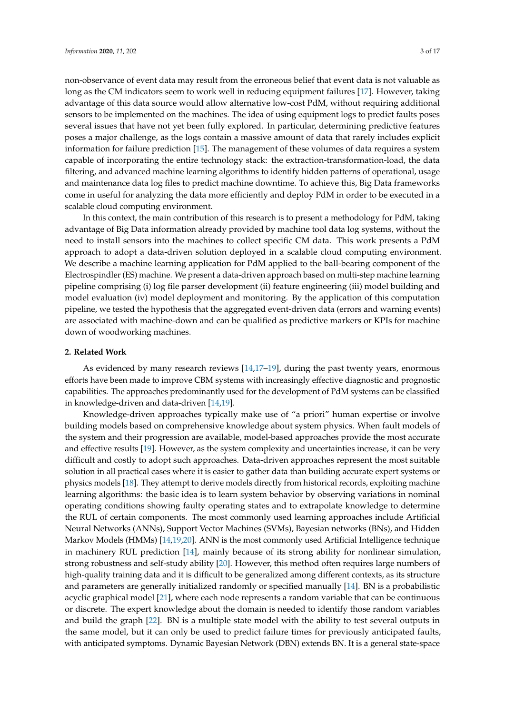non-observance of event data may result from the erroneous belief that event data is not valuable as long as the CM indicators seem to work well in reducing equipment failures [\[17\]](#page-15-5). However, taking advantage of this data source would allow alternative low-cost PdM, without requiring additional sensors to be implemented on the machines. The idea of using equipment logs to predict faults poses several issues that have not yet been fully explored. In particular, determining predictive features poses a major challenge, as the logs contain a massive amount of data that rarely includes explicit information for failure prediction [\[15\]](#page-15-3). The management of these volumes of data requires a system capable of incorporating the entire technology stack: the extraction-transformation-load, the data filtering, and advanced machine learning algorithms to identify hidden patterns of operational, usage and maintenance data log files to predict machine downtime. To achieve this, Big Data frameworks come in useful for analyzing the data more efficiently and deploy PdM in order to be executed in a scalable cloud computing environment.

In this context, the main contribution of this research is to present a methodology for PdM, taking advantage of Big Data information already provided by machine tool data log systems, without the need to install sensors into the machines to collect specific CM data. This work presents a PdM approach to adopt a data-driven solution deployed in a scalable cloud computing environment. We describe a machine learning application for PdM applied to the ball-bearing component of the Electrospindler (ES) machine. We present a data-driven approach based on multi-step machine learning pipeline comprising (i) log file parser development (ii) feature engineering (iii) model building and model evaluation (iv) model deployment and monitoring. By the application of this computation pipeline, we tested the hypothesis that the aggregated event-driven data (errors and warning events) are associated with machine-down and can be qualified as predictive markers or KPIs for machine down of woodworking machines.

## **2. Related Work**

As evidenced by many research reviews [\[14](#page-15-2)[,17–](#page-15-5)[19\]](#page-15-6), during the past twenty years, enormous efforts have been made to improve CBM systems with increasingly effective diagnostic and prognostic capabilities. The approaches predominantly used for the development of PdM systems can be classified in knowledge-driven and data-driven [\[14,](#page-15-2)[19\]](#page-15-6).

Knowledge-driven approaches typically make use of "a priori" human expertise or involve building models based on comprehensive knowledge about system physics. When fault models of the system and their progression are available, model-based approaches provide the most accurate and effective results [\[19\]](#page-15-6). However, as the system complexity and uncertainties increase, it can be very difficult and costly to adopt such approaches. Data-driven approaches represent the most suitable solution in all practical cases where it is easier to gather data than building accurate expert systems or physics models [\[18\]](#page-15-7). They attempt to derive models directly from historical records, exploiting machine learning algorithms: the basic idea is to learn system behavior by observing variations in nominal operating conditions showing faulty operating states and to extrapolate knowledge to determine the RUL of certain components. The most commonly used learning approaches include Artificial Neural Networks (ANNs), Support Vector Machines (SVMs), Bayesian networks (BNs), and Hidden Markov Models (HMMs) [\[14,](#page-15-2)[19,](#page-15-6)[20\]](#page-15-8). ANN is the most commonly used Artificial Intelligence technique in machinery RUL prediction [\[14\]](#page-15-2), mainly because of its strong ability for nonlinear simulation, strong robustness and self-study ability [\[20\]](#page-15-8). However, this method often requires large numbers of high-quality training data and it is difficult to be generalized among different contexts, as its structure and parameters are generally initialized randomly or specified manually [\[14\]](#page-15-2). BN is a probabilistic acyclic graphical model [\[21\]](#page-15-9), where each node represents a random variable that can be continuous or discrete. The expert knowledge about the domain is needed to identify those random variables and build the graph [\[22\]](#page-15-10). BN is a multiple state model with the ability to test several outputs in the same model, but it can only be used to predict failure times for previously anticipated faults, with anticipated symptoms. Dynamic Bayesian Network (DBN) extends BN. It is a general state-space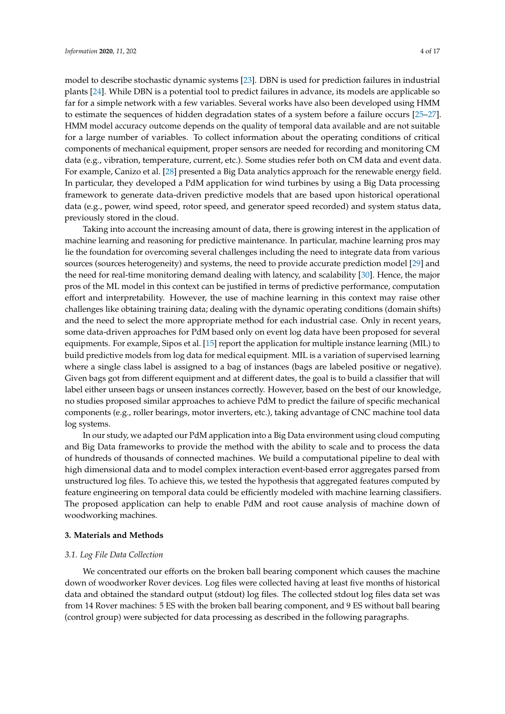model to describe stochastic dynamic systems [\[23\]](#page-15-11). DBN is used for prediction failures in industrial plants [\[24\]](#page-15-12). While DBN is a potential tool to predict failures in advance, its models are applicable so far for a simple network with a few variables. Several works have also been developed using HMM to estimate the sequences of hidden degradation states of a system before a failure occurs [\[25–](#page-15-13)[27\]](#page-15-14). HMM model accuracy outcome depends on the quality of temporal data available and are not suitable for a large number of variables. To collect information about the operating conditions of critical components of mechanical equipment, proper sensors are needed for recording and monitoring CM data (e.g., vibration, temperature, current, etc.). Some studies refer both on CM data and event data. For example, Canizo et al. [\[28\]](#page-15-15) presented a Big Data analytics approach for the renewable energy field. In particular, they developed a PdM application for wind turbines by using a Big Data processing framework to generate data-driven predictive models that are based upon historical operational data (e.g., power, wind speed, rotor speed, and generator speed recorded) and system status data, previously stored in the cloud.

Taking into account the increasing amount of data, there is growing interest in the application of machine learning and reasoning for predictive maintenance. In particular, machine learning pros may lie the foundation for overcoming several challenges including the need to integrate data from various sources (sources heterogeneity) and systems, the need to provide accurate prediction model [\[29\]](#page-15-16) and the need for real-time monitoring demand dealing with latency, and scalability [\[30\]](#page-15-17). Hence, the major pros of the ML model in this context can be justified in terms of predictive performance, computation effort and interpretability. However, the use of machine learning in this context may raise other challenges like obtaining training data; dealing with the dynamic operating conditions (domain shifts) and the need to select the more appropriate method for each industrial case. Only in recent years, some data-driven approaches for PdM based only on event log data have been proposed for several equipments. For example, Sipos et al. [\[15\]](#page-15-3) report the application for multiple instance learning (MIL) to build predictive models from log data for medical equipment. MIL is a variation of supervised learning where a single class label is assigned to a bag of instances (bags are labeled positive or negative). Given bags got from different equipment and at different dates, the goal is to build a classifier that will label either unseen bags or unseen instances correctly. However, based on the best of our knowledge, no studies proposed similar approaches to achieve PdM to predict the failure of specific mechanical components (e.g., roller bearings, motor inverters, etc.), taking advantage of CNC machine tool data log systems.

In our study, we adapted our PdM application into a Big Data environment using cloud computing and Big Data frameworks to provide the method with the ability to scale and to process the data of hundreds of thousands of connected machines. We build a computational pipeline to deal with high dimensional data and to model complex interaction event-based error aggregates parsed from unstructured log files. To achieve this, we tested the hypothesis that aggregated features computed by feature engineering on temporal data could be efficiently modeled with machine learning classifiers. The proposed application can help to enable PdM and root cause analysis of machine down of woodworking machines.

## **3. Materials and Methods**

## *3.1. Log File Data Collection*

We concentrated our efforts on the broken ball bearing component which causes the machine down of woodworker Rover devices. Log files were collected having at least five months of historical data and obtained the standard output (stdout) log files. The collected stdout log files data set was from 14 Rover machines: 5 ES with the broken ball bearing component, and 9 ES without ball bearing (control group) were subjected for data processing as described in the following paragraphs.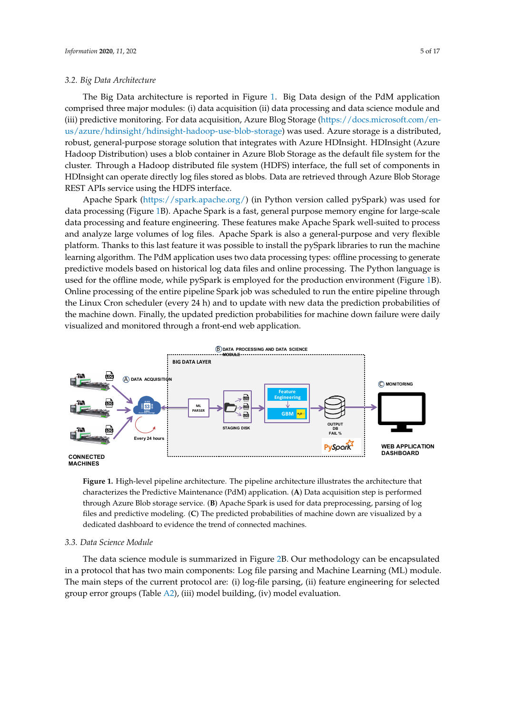## *3.2. Big Data Architecture*

The Big Data architecture is reported in Figure [1.](#page-4-0) Big Data design of the PdM application comprised three major modules: (i) data acquisition (ii) data processing and data science module and (iii) predictive monitoring. For data acquisition, Azure Blog Storage [\(https://docs.microsoft.com/en](https://docs.microsoft.com/en-us/azure/hdinsight/hdinsight-hadoop-use-blob-storage)[us/azure/hdinsight/hdinsight-hadoop-use-blob-storage\)](https://docs.microsoft.com/en-us/azure/hdinsight/hdinsight-hadoop-use-blob-storage) was used. Azure storage is a distributed, robust, general-purpose storage solution that integrates with Azure HDInsight. HDInsight (Azure Hadoop Distribution) uses a blob container in Azure Blob Storage as the default file system for the cluster. Through a Hadoop distributed file system (HDFS) interface, the full set of components in HDInsight can operate directly log files stored as blobs. Data are retrieved through Azure Blob Storage REST APIs service using the HDFS interface.

Apache Spark [\(https://spark.apache.org/\)](https://spark.apache.org/) (in Python version called pySpark) was used for data processing (Figure [1B](#page-4-0)). Apache Spark is a fast, general purpose memory engine for large-scale data processing and feature engineering. These features make Apache Spark well-suited to process and analyze large volumes of log files. Apache Spark is also a general-purpose and very flexible platform. Thanks to this last feature it was possible to install the pySpark libraries to run the machine learning algorithm. The PdM application uses two data processing types: offline processing to generate predictive models based on historical log data files and online processing. The Python language is used for the offline mode, while pySpark is employed for the production environment (Figure [1B](#page-4-0)). Online processing of the entire pipeline Spark job was scheduled to run the entire pipeline through the Linux Cron scheduler (every 24 h) and to update with new data the prediction probabilities of the machine down. Finally, the updated prediction probabilities for machine down failure were daily visualized and monitored through a front-end web application.

<span id="page-4-0"></span>

**Figure 1.** High-level pipeline architecture. The pipeline architecture illustrates the architecture that characterizes the Predictive Maintenance (PdM) application. (**A**) Data acquisition step is performed through Azure Blob storage service. (**B**) Apache Spark is used for data preprocessing, parsing of log files and predictive modeling. (**C**) The predicted probabilities of machine down are visualized by a dedicated dashboard to evidence the trend of connected machines.

# *3.3. Data Science Module*

The data science module is summarized in Figure [2B](#page-5-0). Our methodology can be encapsulated in a protocol that has two main components: Log file parsing and Machine Learning (ML) module. The main steps of the current protocol are: (i) log-file parsing, (ii) feature engineering for selected group error groups (Table [A2\)](#page-13-0), (iii) model building, (iv) model evaluation.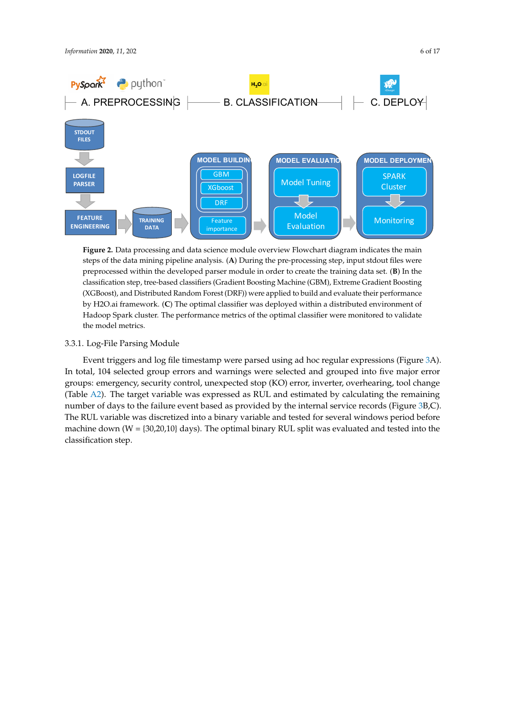<span id="page-5-0"></span>

**Figure 2.** Data processing and data science module overview Flowchart diagram indicates the main steps of the data mining pipeline analysis. (**A**) During the pre-processing step, input stdout files were preprocessed within the developed parser module in order to create the training data set. (**B**) In the classification step, tree-based classifiers (Gradient Boosting Machine (GBM), Extreme Gradient Boosting (XGBoost), and Distributed Random Forest (DRF)) were applied to build and evaluate their performance by H2O.ai framework. (**C**) The optimal classifier was deployed within a distributed environment of Hadoop Spark cluster. The performance metrics of the optimal classifier were monitored to validate the model metrics.

### 3.3.1. Log-File Parsing Module

Event triggers and log file timestamp were parsed using ad hoc regular expressions (Figure [3A](#page-6-0)). In total, 104 selected group errors and warnings were selected and grouped into five major error groups: emergency, security control, unexpected stop (KO) error, inverter, overhearing, tool change (Table [A2\)](#page-13-0). The target variable was expressed as RUL and estimated by calculating the remaining number of days to the failure event based as provided by the internal service records (Figure [3B](#page-6-0),C). The RUL variable was discretized into a binary variable and tested for several windows period before machine down ( $W = \{30,20,10\}$  days). The optimal binary RUL split was evaluated and tested into the classification step.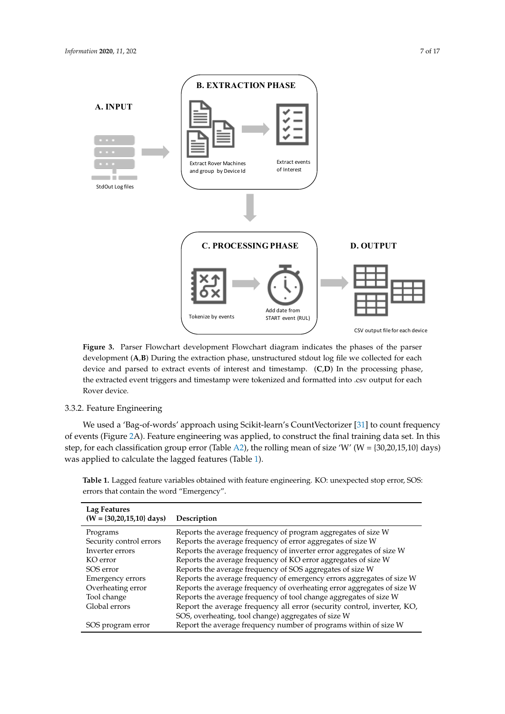<span id="page-6-0"></span>

**Figure 3.** Parser Flowchart development Flowchart diagram indicates the phases of the parser development (**A**,**B**) During the extraction phase, unstructured stdout log file we collected for each device and parsed to extract events of interest and timestamp. (**C**,**D**) In the processing phase, the extracted event triggers and timestamp were tokenized and formatted into .csv output for each Rover device.

## 3.3.2. Feature Engineering

We used a 'Bag-of-words' approach using Scikit-learn's CountVectorizer [\[31\]](#page-15-18) to count frequency of events (Figure [2A](#page-5-0)). Feature engineering was applied, to construct the final training data set. In this step, for each classification group error (Table [A2\)](#page-13-0), the rolling mean of size 'W' (W = {30,20,15,10} days) was applied to calculate the lagged features (Table [1\)](#page-6-1).

| Lag Features<br>$(W = \{30, 20, 15, 10\}$ days) | Description                                                             |
|-------------------------------------------------|-------------------------------------------------------------------------|
| Programs                                        | Reports the average frequency of program aggregates of size W           |
| Security control errors                         | Reports the average frequency of error aggregates of size W             |
| Inverter errors                                 | Reports the average frequency of inverter error aggregates of size W    |
| KO error                                        | Reports the average frequency of KO error aggregates of size W          |
| SOS error                                       | Reports the average frequency of SOS aggregates of size W               |
| <b>Emergency errors</b>                         | Reports the average frequency of emergency errors aggregates of size W  |
| Overheating error                               | Reports the average frequency of overheating error aggregates of size W |
| Tool change                                     | Reports the average frequency of tool change aggregates of size W       |
| Global errors                                   | Report the average frequency all error (security control, inverter, KO, |
|                                                 | SOS, overheating, tool change) aggregates of size W                     |
| SOS program error                               | Report the average frequency number of programs within of size W        |

<span id="page-6-1"></span>**Table 1.** Lagged feature variables obtained with feature engineering. KO: unexpected stop error, SOS: errors that contain the word "Emergency".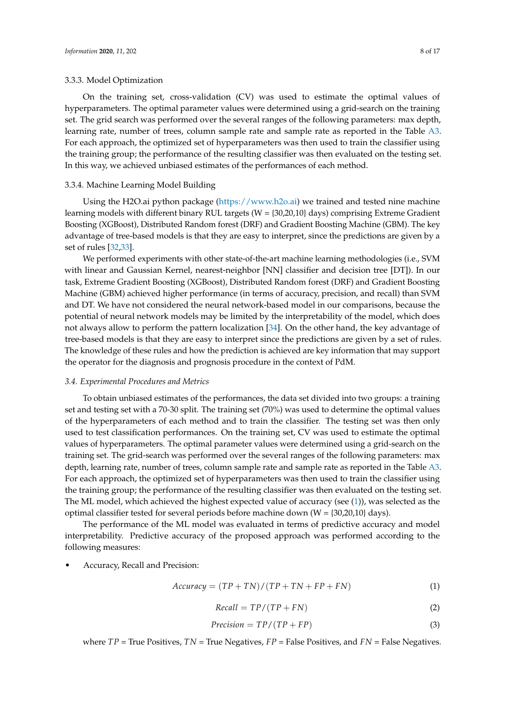## 3.3.3. Model Optimization

On the training set, cross-validation (CV) was used to estimate the optimal values of hyperparameters. The optimal parameter values were determined using a grid-search on the training set. The grid search was performed over the several ranges of the following parameters: max depth, learning rate, number of trees, column sample rate and sample rate as reported in the Table [A3.](#page-13-1) For each approach, the optimized set of hyperparameters was then used to train the classifier using the training group; the performance of the resulting classifier was then evaluated on the testing set. In this way, we achieved unbiased estimates of the performances of each method.

## 3.3.4. Machine Learning Model Building

Using the H2O.ai python package [\(https://www.h2o.ai\)](https://www.h2o.ai) we trained and tested nine machine learning models with different binary RUL targets ( $W = \{30,20,10\}$  days) comprising Extreme Gradient Boosting (XGBoost), Distributed Random forest (DRF) and Gradient Boosting Machine (GBM). The key advantage of tree-based models is that they are easy to interpret, since the predictions are given by a set of rules [\[32,](#page-15-19)[33\]](#page-15-20).

We performed experiments with other state-of-the-art machine learning methodologies (i.e., SVM with linear and Gaussian Kernel, nearest-neighbor [NN] classifier and decision tree [DT]). In our task, Extreme Gradient Boosting (XGBoost), Distributed Random forest (DRF) and Gradient Boosting Machine (GBM) achieved higher performance (in terms of accuracy, precision, and recall) than SVM and DT. We have not considered the neural network-based model in our comparisons, because the potential of neural network models may be limited by the interpretability of the model, which does not always allow to perform the pattern localization [\[34\]](#page-15-21). On the other hand, the key advantage of tree-based models is that they are easy to interpret since the predictions are given by a set of rules. The knowledge of these rules and how the prediction is achieved are key information that may support the operator for the diagnosis and prognosis procedure in the context of PdM.

#### *3.4. Experimental Procedures and Metrics*

To obtain unbiased estimates of the performances, the data set divided into two groups: a training set and testing set with a 70-30 split. The training set (70%) was used to determine the optimal values of the hyperparameters of each method and to train the classifier. The testing set was then only used to test classification performances. On the training set, CV was used to estimate the optimal values of hyperparameters. The optimal parameter values were determined using a grid-search on the training set. The grid-search was performed over the several ranges of the following parameters: max depth, learning rate, number of trees, column sample rate and sample rate as reported in the Table [A3.](#page-13-1) For each approach, the optimized set of hyperparameters was then used to train the classifier using the training group; the performance of the resulting classifier was then evaluated on the testing set. The ML model, which achieved the highest expected value of accuracy (see [\(1\)](#page-7-0)), was selected as the optimal classifier tested for several periods before machine down  $(W = \{30,20,10\}$  days).

The performance of the ML model was evaluated in terms of predictive accuracy and model interpretability. Predictive accuracy of the proposed approach was performed according to the following measures:

• Accuracy, Recall and Precision:

<span id="page-7-0"></span>
$$
Accuracy = (TP + TN)/(TP + TN + FP + FN)
$$
 (1)

$$
Recall = TP/(TP + FN)
$$
 (2)

$$
Precision = TP/(TP + FP)
$$
\n(3)

where *TP* = True Positives, *TN* = True Negatives, *FP* = False Positives, and *FN* = False Negatives.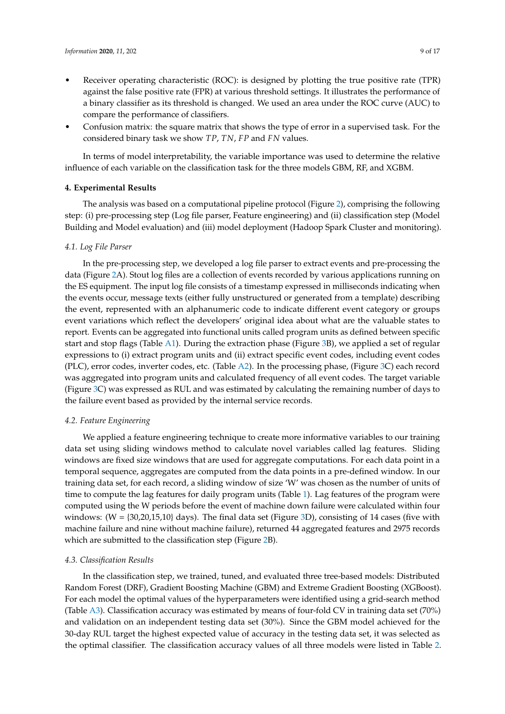- Receiver operating characteristic (ROC): is designed by plotting the true positive rate (TPR) against the false positive rate (FPR) at various threshold settings. It illustrates the performance of a binary classifier as its threshold is changed. We used an area under the ROC curve (AUC) to compare the performance of classifiers.
- Confusion matrix: the square matrix that shows the type of error in a supervised task. For the considered binary task we show *TP*, *TN*, *FP* and *FN* values.

In terms of model interpretability, the variable importance was used to determine the relative influence of each variable on the classification task for the three models GBM, RF, and XGBM.

#### **4. Experimental Results**

The analysis was based on a computational pipeline protocol (Figure [2\)](#page-5-0), comprising the following step: (i) pre-processing step (Log file parser, Feature engineering) and (ii) classification step (Model Building and Model evaluation) and (iii) model deployment (Hadoop Spark Cluster and monitoring).

## *4.1. Log File Parser*

In the pre-processing step, we developed a log file parser to extract events and pre-processing the data (Figure [2A](#page-5-0)). Stout log files are a collection of events recorded by various applications running on the ES equipment. The input log file consists of a timestamp expressed in milliseconds indicating when the events occur, message texts (either fully unstructured or generated from a template) describing the event, represented with an alphanumeric code to indicate different event category or groups event variations which reflect the developers' original idea about what are the valuable states to report. Events can be aggregated into functional units called program units as defined between specific start and stop flags (Table [A1\)](#page-12-0). During the extraction phase (Figure [3B](#page-6-0)), we applied a set of regular expressions to (i) extract program units and (ii) extract specific event codes, including event codes (PLC), error codes, inverter codes, etc. (Table [A2\)](#page-13-0). In the processing phase, (Figure [3C](#page-6-0)) each record was aggregated into program units and calculated frequency of all event codes. The target variable (Figure [3C](#page-6-0)) was expressed as RUL and was estimated by calculating the remaining number of days to the failure event based as provided by the internal service records.

## *4.2. Feature Engineering*

We applied a feature engineering technique to create more informative variables to our training data set using sliding windows method to calculate novel variables called lag features. Sliding windows are fixed size windows that are used for aggregate computations. For each data point in a temporal sequence, aggregates are computed from the data points in a pre-defined window. In our training data set, for each record, a sliding window of size 'W' was chosen as the number of units of time to compute the lag features for daily program units (Table [1\)](#page-6-1). Lag features of the program were computed using the W periods before the event of machine down failure were calculated within four windows:  $(W = \{30, 20, 15, 10\}$  days). The final data set (Figure [3D](#page-6-0)), consisting of 14 cases (five with machine failure and nine without machine failure), returned 44 aggregated features and 2975 records which are submitted to the classification step (Figure [2B](#page-5-0)).

## *4.3. Classification Results*

In the classification step, we trained, tuned, and evaluated three tree-based models: Distributed Random Forest (DRF), Gradient Boosting Machine (GBM) and Extreme Gradient Boosting (XGBoost). For each model the optimal values of the hyperparameters were identified using a grid-search method (Table [A3\)](#page-13-1). Classification accuracy was estimated by means of four-fold CV in training data set (70%) and validation on an independent testing data set (30%). Since the GBM model achieved for the 30-day RUL target the highest expected value of accuracy in the testing data set, it was selected as the optimal classifier. The classification accuracy values of all three models were listed in Table [2.](#page-10-0)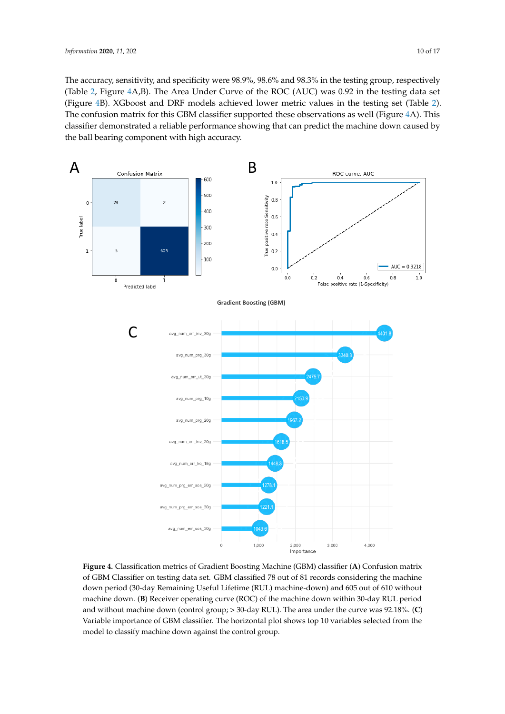The accuracy, sensitivity, and specificity were 98.9%, 98.6% and 98.3% in the testing group, respectively (Table [2,](#page-10-0) Figure [4A](#page-9-0),B). The Area Under Curve of the ROC (AUC) was 0.92 in the testing data set (Figure [4B](#page-9-0)). XGboost and DRF models achieved lower metric values in the testing set (Table [2\)](#page-10-0). The confusion matrix for this GBM classifier supported these observations as well (Figure [4A](#page-9-0)). This classifier demonstrated a reliable performance showing that can predict the machine down caused by the ball bearing component with high accuracy.

<span id="page-9-0"></span>

**Figure 4.** Classification metrics of Gradient Boosting Machine (GBM) classifier (**A**) Confusion matrix of GBM Classifier on testing data set. GBM classified 78 out of 81 records considering the machine down period (30-day Remaining Useful Lifetime (RUL) machine-down) and 605 out of 610 without machine down. (**B**) Receiver operating curve (ROC) of the machine down within 30-day RUL period and without machine down (control group; > 30-day RUL). The area under the curve was 92.18%. (**C**) Variable importance of GBM classifier. The horizontal plot shows top 10 variables selected from the model to classify machine down against the control group.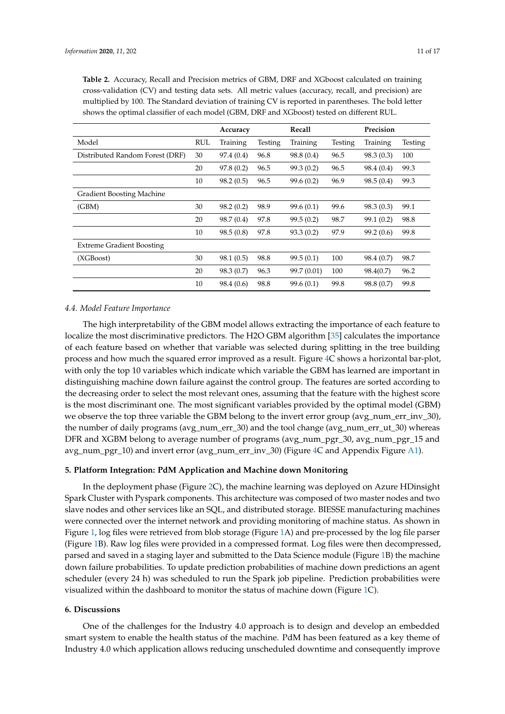<span id="page-10-0"></span>

|                                  |     | Accuracy   |         | Recall      |         | Precision  |         |
|----------------------------------|-----|------------|---------|-------------|---------|------------|---------|
| Model                            | RUL | Training   | Testing | Training    | Testing | Training   | Testing |
| Distributed Random Forest (DRF)  | 30  | 97.4 (0.4) | 96.8    | 98.8 (0.4)  | 96.5    | 98.3(0.3)  | 100     |
|                                  | 20  | 97.8(0.2)  | 96.5    | 99.3(0.2)   | 96.5    | 98.4 (0.4) | 99.3    |
|                                  | 10  | 98.2(0.5)  | 96.5    | 99.6(0.2)   | 96.9    | 98.5(0.4)  | 99.3    |
| Gradient Boosting Machine        |     |            |         |             |         |            |         |
| (GBM)                            | 30  | 98.2(0.2)  | 98.9    | 99.6(0.1)   | 99.6    | 98.3(0.3)  | 99.1    |
|                                  | 20  | 98.7 (0.4) | 97.8    | 99.5(0.2)   | 98.7    | 99.1(0.2)  | 98.8    |
|                                  | 10  | 98.5(0.8)  | 97.8    | 93.3(0.2)   | 97.9    | 99.2(0.6)  | 99.8    |
| <b>Extreme Gradient Boosting</b> |     |            |         |             |         |            |         |
| (XGBoost)                        | 30  | 98.1(0.5)  | 98.8    | 99.5(0.1)   | 100     | 98.4 (0.7) | 98.7    |
|                                  | 20  | 98.3(0.7)  | 96.3    | 99.7 (0.01) | 100     | 98.4(0.7)  | 96.2    |
|                                  | 10  | 98.4(0.6)  | 98.8    | 99.6(0.1)   | 99.8    | 98.8 (0.7) | 99.8    |

#### *4.4. Model Feature Importance*

The high interpretability of the GBM model allows extracting the importance of each feature to localize the most discriminative predictors. The H2O GBM algorithm [\[35\]](#page-15-22) calculates the importance of each feature based on whether that variable was selected during splitting in the tree building process and how much the squared error improved as a result. Figure [4C](#page-9-0) shows a horizontal bar-plot, with only the top 10 variables which indicate which variable the GBM has learned are important in distinguishing machine down failure against the control group. The features are sorted according to the decreasing order to select the most relevant ones, assuming that the feature with the highest score is the most discriminant one. The most significant variables provided by the optimal model (GBM) we observe the top three variable the GBM belong to the invert error group (avg\_num\_err\_inv\_30), the number of daily programs (avg\_num\_err\_30) and the tool change (avg\_num\_err\_ut\_30) whereas DFR and XGBM belong to average number of programs (avg\_num\_pgr\_30, avg\_num\_pgr\_15 and avg\_num\_pgr\_10) and invert error (avg\_num\_err\_inv\_30) (Figure [4C](#page-9-0) and Appendix Figure [A1\)](#page-14-10).

## **5. Platform Integration: PdM Application and Machine down Monitoring**

In the deployment phase (Figure [2C](#page-5-0)), the machine learning was deployed on Azure HDinsight Spark Cluster with Pyspark components. This architecture was composed of two master nodes and two slave nodes and other services like an SQL, and distributed storage. BIESSE manufacturing machines were connected over the internet network and providing monitoring of machine status. As shown in Figure [1,](#page-4-0) log files were retrieved from blob storage (Figure [1A](#page-4-0)) and pre-processed by the log file parser (Figure [1B](#page-4-0)). Raw log files were provided in a compressed format. Log files were then decompressed, parsed and saved in a staging layer and submitted to the Data Science module (Figure [1B](#page-4-0)) the machine down failure probabilities. To update prediction probabilities of machine down predictions an agent scheduler (every 24 h) was scheduled to run the Spark job pipeline. Prediction probabilities were visualized within the dashboard to monitor the status of machine down (Figure [1C](#page-4-0)).

## **6. Discussions**

One of the challenges for the Industry 4.0 approach is to design and develop an embedded smart system to enable the health status of the machine. PdM has been featured as a key theme of Industry 4.0 which application allows reducing unscheduled downtime and consequently improve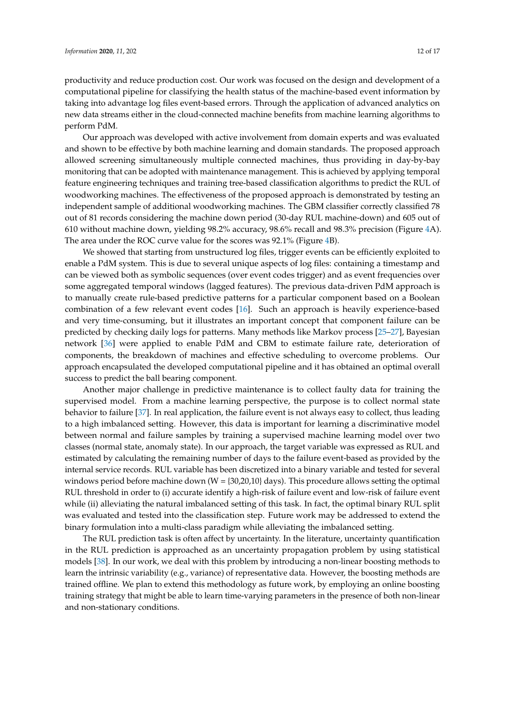productivity and reduce production cost. Our work was focused on the design and development of a computational pipeline for classifying the health status of the machine-based event information by taking into advantage log files event-based errors. Through the application of advanced analytics on new data streams either in the cloud-connected machine benefits from machine learning algorithms to perform PdM.

Our approach was developed with active involvement from domain experts and was evaluated and shown to be effective by both machine learning and domain standards. The proposed approach allowed screening simultaneously multiple connected machines, thus providing in day-by-bay monitoring that can be adopted with maintenance management. This is achieved by applying temporal feature engineering techniques and training tree-based classification algorithms to predict the RUL of woodworking machines. The effectiveness of the proposed approach is demonstrated by testing an independent sample of additional woodworking machines. The GBM classifier correctly classified 78 out of 81 records considering the machine down period (30-day RUL machine-down) and 605 out of 610 without machine down, yielding 98.2% accuracy, 98.6% recall and 98.3% precision (Figure [4A](#page-9-0)). The area under the ROC curve value for the scores was 92.1% (Figure [4B](#page-9-0)).

We showed that starting from unstructured log files, trigger events can be efficiently exploited to enable a PdM system. This is due to several unique aspects of log files: containing a timestamp and can be viewed both as symbolic sequences (over event codes trigger) and as event frequencies over some aggregated temporal windows (lagged features). The previous data-driven PdM approach is to manually create rule-based predictive patterns for a particular component based on a Boolean combination of a few relevant event codes [\[16\]](#page-15-4). Such an approach is heavily experience-based and very time-consuming, but it illustrates an important concept that component failure can be predicted by checking daily logs for patterns. Many methods like Markov process [\[25–](#page-15-13)[27\]](#page-15-14), Bayesian network [\[36\]](#page-15-23) were applied to enable PdM and CBM to estimate failure rate, deterioration of components, the breakdown of machines and effective scheduling to overcome problems. Our approach encapsulated the developed computational pipeline and it has obtained an optimal overall success to predict the ball bearing component.

Another major challenge in predictive maintenance is to collect faulty data for training the supervised model. From a machine learning perspective, the purpose is to collect normal state behavior to failure [\[37\]](#page-16-0). In real application, the failure event is not always easy to collect, thus leading to a high imbalanced setting. However, this data is important for learning a discriminative model between normal and failure samples by training a supervised machine learning model over two classes (normal state, anomaly state). In our approach, the target variable was expressed as RUL and estimated by calculating the remaining number of days to the failure event-based as provided by the internal service records. RUL variable has been discretized into a binary variable and tested for several windows period before machine down ( $W = \{30,20,10\}$  days). This procedure allows setting the optimal RUL threshold in order to (i) accurate identify a high-risk of failure event and low-risk of failure event while (ii) alleviating the natural imbalanced setting of this task. In fact, the optimal binary RUL split was evaluated and tested into the classification step. Future work may be addressed to extend the binary formulation into a multi-class paradigm while alleviating the imbalanced setting.

The RUL prediction task is often affect by uncertainty. In the literature, uncertainty quantification in the RUL prediction is approached as an uncertainty propagation problem by using statistical models [\[38\]](#page-16-1). In our work, we deal with this problem by introducing a non-linear boosting methods to learn the intrinsic variability (e.g., variance) of representative data. However, the boosting methods are trained offline. We plan to extend this methodology as future work, by employing an online boosting training strategy that might be able to learn time-varying parameters in the presence of both non-linear and non-stationary conditions.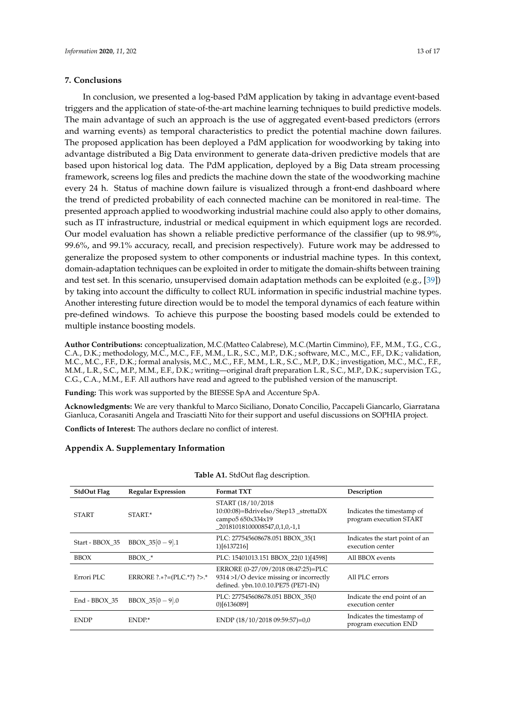## **7. Conclusions**

In conclusion, we presented a log-based PdM application by taking in advantage event-based triggers and the application of state-of-the-art machine learning techniques to build predictive models. The main advantage of such an approach is the use of aggregated event-based predictors (errors and warning events) as temporal characteristics to predict the potential machine down failures. The proposed application has been deployed a PdM application for woodworking by taking into advantage distributed a Big Data environment to generate data-driven predictive models that are based upon historical log data. The PdM application, deployed by a Big Data stream processing framework, screens log files and predicts the machine down the state of the woodworking machine every 24 h. Status of machine down failure is visualized through a front-end dashboard where the trend of predicted probability of each connected machine can be monitored in real-time. The presented approach applied to woodworking industrial machine could also apply to other domains, such as IT infrastructure, industrial or medical equipment in which equipment logs are recorded. Our model evaluation has shown a reliable predictive performance of the classifier (up to 98.9%, 99.6%, and 99.1% accuracy, recall, and precision respectively). Future work may be addressed to generalize the proposed system to other components or industrial machine types. In this context, domain-adaptation techniques can be exploited in order to mitigate the domain-shifts between training and test set. In this scenario, unsupervised domain adaptation methods can be exploited (e.g., [\[39\]](#page-16-2)) by taking into account the difficulty to collect RUL information in specific industrial machine types. Another interesting future direction would be to model the temporal dynamics of each feature within pre-defined windows. To achieve this purpose the boosting based models could be extended to

**Author Contributions:** conceptualization, M.C.(Matteo Calabrese), M.C.(Martin Cimmino), F.F., M.M., T.G., C.G., C.A., D.K.; methodology, M.C., M.C., F.F., M.M., L.R., S.C., M.P., D.K.; software, M.C., M.C., F.F., D.K.; validation, M.C., M.C., F.F., D.K.; formal analysis, M.C., M.C., F.F., M.M., L.R., S.C., M.P., D.K.; investigation, M.C., M.C., F.F., M.M., L.R., S.C., M.P., M.M., E.F., D.K.; writing—original draft preparation L.R., S.C., M.P., D.K.; supervision T.G., C.G., C.A., M.M., E.F. All authors have read and agreed to the published version of the manuscript.

**Funding:** This work was supported by the BIESSE SpA and Accenture SpA.

**Acknowledgments:** We are very thankful to Marco Siciliano, Donato Concilio, Paccapeli Giancarlo, Giarratana Gianluca, Corasaniti Angela and Trasciatti Nito for their support and useful discussions on SOPHIA project.

**Conflicts of Interest:** The authors declare no conflict of interest.

## **Appendix A. Supplementary Information**

multiple instance boosting models.

<span id="page-12-0"></span>

| <b>StdOut Flag</b> | <b>Regular Expression</b> | <b>Format TXT</b>                                                                                                    | Description                                           |
|--------------------|---------------------------|----------------------------------------------------------------------------------------------------------------------|-------------------------------------------------------|
| <b>START</b>       | START.*                   | START (18/10/2018)<br>10:00:08)=BdriveIso/Step13_strettaDX<br>campo5 650x334x19<br>20181018100008547,0,1,0,-1,1      | Indicates the timestamp of<br>program execution START |
| Start - BBOX 35    | $BBOX_35[0-9].1$          | PLC: 277545608678.051 BBOX_35(1<br>1)[6137216]                                                                       | Indicates the start point of an<br>execution center   |
| <b>BBOX</b>        | BBOX .*                   | PLC: 15401013.151 BBOX 22(0 1)[4598]                                                                                 | All BBOX events                                       |
| Errori PLC         | ERRORE ?.*?=(PLC.*?) ?>.* | ERRORE (0-27/09/2018 08:47:25)=PLC<br>9314 >I/O device missing or incorrectly<br>defined. ybn.10.0.10.PE75 (PE71-IN) | All PLC errors                                        |
| End - BBOX 35      | $BBOX_35[0-9].0$          | PLC: 277545608678.051 BBOX 35(0<br>0)[6136089]                                                                       | Indicate the end point of an<br>execution center      |
| <b>ENDP</b>        | ENDP.*                    | ENDP (18/10/2018 09:59:57)=0,0                                                                                       | Indicates the timestamp of<br>program execution END   |

**Table A1.** StdOut flag description.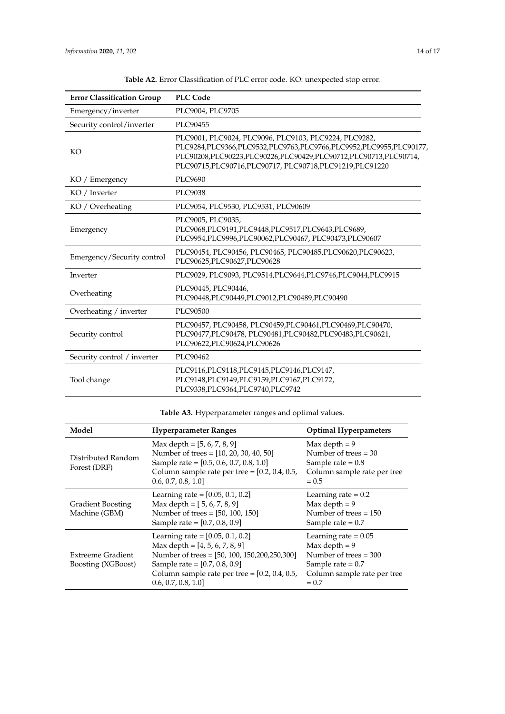<span id="page-13-0"></span>

| <b>Error Classification Group</b>                                                                                                                                              | <b>PLC Code</b>                                                                                                                                                                                                                                                          |
|--------------------------------------------------------------------------------------------------------------------------------------------------------------------------------|--------------------------------------------------------------------------------------------------------------------------------------------------------------------------------------------------------------------------------------------------------------------------|
| Emergency/inverter                                                                                                                                                             | PLC9004, PLC9705                                                                                                                                                                                                                                                         |
| Security control/inverter                                                                                                                                                      | PLC90455                                                                                                                                                                                                                                                                 |
| KO                                                                                                                                                                             | PLC9001, PLC9024, PLC9096, PLC9103, PLC9224, PLC9282,<br>PLC9284, PLC9366, PLC9532, PLC9763, PLC9766, PLC9952, PLC9955, PLC90177,<br>PLC90208, PLC90223, PLC90226, PLC90429, PLC90712, PLC90713, PLC90714,<br>PLC90715, PLC90716, PLC90717, PLC90718, PLC91219, PLC91220 |
| KO / Emergency                                                                                                                                                                 | PLC9690                                                                                                                                                                                                                                                                  |
| KO / Inverter                                                                                                                                                                  | PLC9038                                                                                                                                                                                                                                                                  |
| KO / Overheating                                                                                                                                                               | PLC9054, PLC9530, PLC9531, PLC90609                                                                                                                                                                                                                                      |
| Emergency                                                                                                                                                                      | PLC9005, PLC9035,<br>PLC9068, PLC9191, PLC9448, PLC9517, PLC9643, PLC9689,<br>PLC9954, PLC9996, PLC90062, PLC90467, PLC90473, PLC90607                                                                                                                                   |
| Emergency/Security control                                                                                                                                                     | PLC90454, PLC90456, PLC90465, PLC90485, PLC90620, PLC90623,<br>PLC90625, PLC90627, PLC90628                                                                                                                                                                              |
| Inverter                                                                                                                                                                       | PLC9029, PLC9093, PLC9514, PLC9644, PLC9746, PLC9044, PLC9915                                                                                                                                                                                                            |
| Overheating                                                                                                                                                                    | PLC90445, PLC90446,<br>PLC90448,PLC90449,PLC9012,PLC90489,PLC90490                                                                                                                                                                                                       |
| Overheating / inverter                                                                                                                                                         | PLC90500                                                                                                                                                                                                                                                                 |
| PLC90457, PLC90458, PLC90459, PLC90461, PLC90469, PLC90470,<br>PLC90477, PLC90478, PLC90481, PLC90482, PLC90483, PLC90621,<br>Security control<br>PLC90622, PLC90624, PLC90626 |                                                                                                                                                                                                                                                                          |
| Security control / inverter                                                                                                                                                    | PLC90462                                                                                                                                                                                                                                                                 |
| Tool change                                                                                                                                                                    | PLC9116, PLC9118, PLC9145, PLC9146, PLC9147,<br>PLC9148, PLC9149, PLC9159, PLC9167, PLC9172,<br>PLC9338, PLC9364, PLC9740, PLC9742                                                                                                                                       |

**Table A2.** Error Classification of PLC error code. KO: unexpected stop error.

**Table A3.** Hyperparameter ranges and optimal values.

<span id="page-13-1"></span>

| Model                                     | <b>Hyperparameter Ranges</b>                                                                                                                                                         | <b>Optimal Hyperpameters</b>                                                                                                          |
|-------------------------------------------|--------------------------------------------------------------------------------------------------------------------------------------------------------------------------------------|---------------------------------------------------------------------------------------------------------------------------------------|
| Distributed Random<br>Forest (DRF)        | Max depth = $[5, 6, 7, 8, 9]$<br>Number of trees = [10, 20, 30, 40, 50]<br>Sample rate = [0.5, 0.6, 0.7, 0.8, 1.0]<br>0.6, 0.7, 0.8, 1.0                                             | Max depth $= 9$<br>Number of trees $=$ 30<br>Sample rate $= 0.8$<br>Column sample rate per tree<br>$= 0.5$                            |
| <b>Gradient Boosting</b><br>Machine (GBM) | Learning rate = $[0.05, 0.1, 0.2]$<br>Max depth = $[5, 6, 7, 8, 9]$<br>Number of trees = [50, 100, 150]<br>Sample rate = [0.7, 0.8, 0.9]                                             | Learning rate $= 0.2$<br>Max depth $= 9$<br>Number of trees $= 150$<br>Sample rate $= 0.7$                                            |
| Extreeme Gradient<br>Boosting (XGBoost)   | Learning rate = $[0.05, 0.1, 0.2]$<br>Max depth = $[4, 5, 6, 7, 8, 9]$<br>Number of trees = [50, 100, 150, 200, 250, 300]<br>Sample rate = $[0.7, 0.8, 0.9]$<br>[0.6, 0.7, 0.8, 1.0] | Learning rate $= 0.05$<br>Max depth $= 9$<br>Number of trees $=$ 300<br>Sample rate $= 0.7$<br>Column sample rate per tree<br>$= 0.7$ |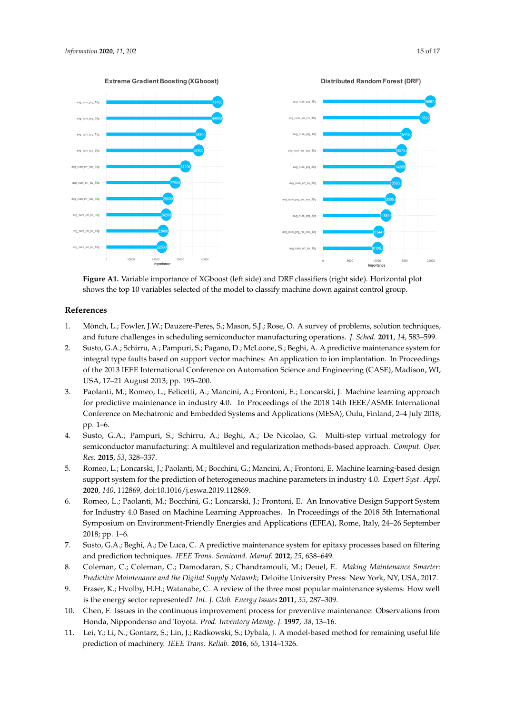<span id="page-14-10"></span>

**Figure A1.** Variable importance of XGboost (left side) and DRF classifiers (right side). Horizontal plot shows the top 10 variables selected of the model to classify machine down against control group.

# **References**

- <span id="page-14-0"></span>1. Mönch, L.; Fowler, J.W.; Dauzere-Peres, S.; Mason, S.J.; Rose, O. A survey of problems, solution techniques, and future challenges in scheduling semiconductor manufacturing operations. *J. Sched.* **2011**, *14*, 583–599.
- <span id="page-14-1"></span>2. Susto, G.A.; Schirru, A.; Pampuri, S.; Pagano, D.; McLoone, S.; Beghi, A. A predictive maintenance system for integral type faults based on support vector machines: An application to ion implantation. In Proceedings of the 2013 IEEE International Conference on Automation Science and Engineering (CASE), Madison, WI, USA, 17–21 August 2013; pp. 195–200.
- <span id="page-14-2"></span>3. Paolanti, M.; Romeo, L.; Felicetti, A.; Mancini, A.; Frontoni, E.; Loncarski, J. Machine learning approach for predictive maintenance in industry 4.0. In Proceedings of the 2018 14th IEEE/ASME International Conference on Mechatronic and Embedded Systems and Applications (MESA), Oulu, Finland, 2–4 July 2018; pp. 1–6.
- <span id="page-14-3"></span>4. Susto, G.A.; Pampuri, S.; Schirru, A.; Beghi, A.; De Nicolao, G. Multi-step virtual metrology for semiconductor manufacturing: A multilevel and regularization methods-based approach. *Comput. Oper. Res.* **2015**, *53*, 328–337.
- 5. Romeo, L.; Loncarski, J.; Paolanti, M.; Bocchini, G.; Mancini, A.; Frontoni, E. Machine learning-based design support system for the prediction of heterogeneous machine parameters in industry 4.0. *Expert Syst. Appl.* **2020**, *140*, 112869, doi:10.1016/j.eswa.2019.112869.
- <span id="page-14-4"></span>6. Romeo, L.; Paolanti, M.; Bocchini, G.; Loncarski, J.; Frontoni, E. An Innovative Design Support System for Industry 4.0 Based on Machine Learning Approaches. In Proceedings of the 2018 5th International Symposium on Environment-Friendly Energies and Applications (EFEA), Rome, Italy, 24–26 September 2018; pp. 1–6.
- <span id="page-14-5"></span>7. Susto, G.A.; Beghi, A.; De Luca, C. A predictive maintenance system for epitaxy processes based on filtering and prediction techniques. *IEEE Trans. Semicond. Manuf.* **2012**, *25*, 638–649.
- <span id="page-14-6"></span>8. Coleman, C.; Coleman, C.; Damodaran, S.; Chandramouli, M.; Deuel, E. *Making Maintenance Smarter: Predictive Maintenance and the Digital Supply Network*; Deloitte University Press: New York, NY, USA, 2017.
- <span id="page-14-7"></span>9. Fraser, K.; Hvolby, H.H.; Watanabe, C. A review of the three most popular maintenance systems: How well is the energy sector represented? *Int. J. Glob. Energy Issues* **2011**, *35*, 287–309.
- <span id="page-14-8"></span>10. Chen, F. Issues in the continuous improvement process for preventive maintenance: Observations from Honda, Nippondenso and Toyota. *Prod. Inventory Manag. J.* **1997**, *38*, 13–16.
- <span id="page-14-9"></span>11. Lei, Y.; Li, N.; Gontarz, S.; Lin, J.; Radkowski, S.; Dybala, J. A model-based method for remaining useful life prediction of machinery. *IEEE Trans. Reliab.* **2016**, *65*, 1314–1326.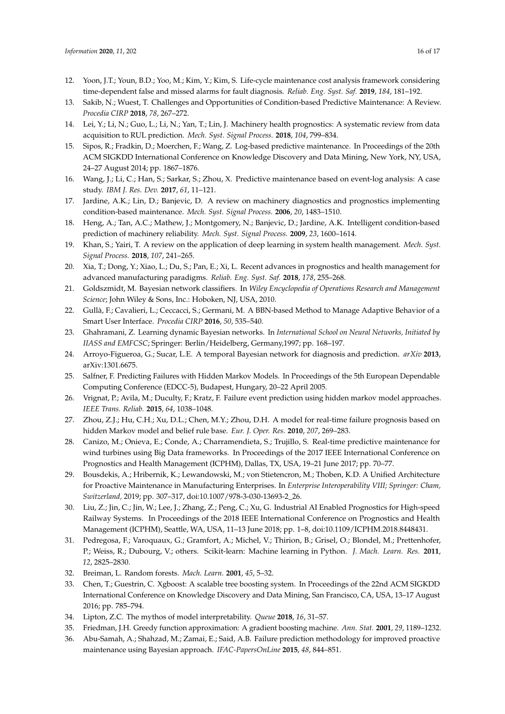- <span id="page-15-0"></span>12. Yoon, J.T.; Youn, B.D.; Yoo, M.; Kim, Y.; Kim, S. Life-cycle maintenance cost analysis framework considering time-dependent false and missed alarms for fault diagnosis. *Reliab. Eng. Syst. Saf.* **2019**, *184*, 181–192.
- <span id="page-15-1"></span>13. Sakib, N.; Wuest, T. Challenges and Opportunities of Condition-based Predictive Maintenance: A Review. *Procedia CIRP* **2018**, *78*, 267–272.
- <span id="page-15-2"></span>14. Lei, Y.; Li, N.; Guo, L.; Li, N.; Yan, T.; Lin, J. Machinery health prognostics: A systematic review from data acquisition to RUL prediction. *Mech. Syst. Signal Process.* **2018**, *104*, 799–834.
- <span id="page-15-3"></span>15. Sipos, R.; Fradkin, D.; Moerchen, F.; Wang, Z. Log-based predictive maintenance. In Proceedings of the 20th ACM SIGKDD International Conference on Knowledge Discovery and Data Mining, New York, NY, USA, 24–27 August 2014; pp. 1867–1876.
- <span id="page-15-4"></span>16. Wang, J.; Li, C.; Han, S.; Sarkar, S.; Zhou, X. Predictive maintenance based on event-log analysis: A case study. *IBM J. Res. Dev.* **2017**, *61*, 11–121.
- <span id="page-15-5"></span>17. Jardine, A.K.; Lin, D.; Banjevic, D. A review on machinery diagnostics and prognostics implementing condition-based maintenance. *Mech. Syst. Signal Process.* **2006**, *20*, 1483–1510.
- <span id="page-15-7"></span>18. Heng, A.; Tan, A.C.; Mathew, J.; Montgomery, N.; Banjevic, D.; Jardine, A.K. Intelligent condition-based prediction of machinery reliability. *Mech. Syst. Signal Process.* **2009**, *23*, 1600–1614.
- <span id="page-15-6"></span>19. Khan, S.; Yairi, T. A review on the application of deep learning in system health management. *Mech. Syst. Signal Process.* **2018**, *107*, 241–265.
- <span id="page-15-8"></span>20. Xia, T.; Dong, Y.; Xiao, L.; Du, S.; Pan, E.; Xi, L. Recent advances in prognostics and health management for advanced manufacturing paradigms. *Reliab. Eng. Syst. Saf.* **2018**, *178*, 255–268.
- <span id="page-15-9"></span>21. Goldszmidt, M. Bayesian network classifiers. In *Wiley Encyclopedia of Operations Research and Management Science*; John Wiley & Sons, Inc.: Hoboken, NJ, USA, 2010.
- <span id="page-15-10"></span>22. Gullà, F.; Cavalieri, L.; Ceccacci, S.; Germani, M. A BBN-based Method to Manage Adaptive Behavior of a Smart User Interface. *Procedia CIRP* **2016**, *50*, 535–540.
- <span id="page-15-11"></span>23. Ghahramani, Z. Learning dynamic Bayesian networks. In *International School on Neural Networks, Initiated by IIASS and EMFCSC*; Springer: Berlin/Heidelberg, Germany,1997; pp. 168–197.
- <span id="page-15-12"></span>24. Arroyo-Figueroa, G.; Sucar, L.E. A temporal Bayesian network for diagnosis and prediction. *arXiv* **2013**, arXiv:1301.6675.
- <span id="page-15-13"></span>25. Salfner, F. Predicting Failures with Hidden Markov Models. In Proceedings of the 5th European Dependable Computing Conference (EDCC-5), Budapest, Hungary, 20–22 April 2005.
- 26. Vrignat, P.; Avila, M.; Duculty, F.; Kratz, F. Failure event prediction using hidden markov model approaches. *IEEE Trans. Reliab.* **2015**, *64*, 1038–1048.
- <span id="page-15-14"></span>27. Zhou, Z.J.; Hu, C.H.; Xu, D.L.; Chen, M.Y.; Zhou, D.H. A model for real-time failure prognosis based on hidden Markov model and belief rule base. *Eur. J. Oper. Res.* **2010**, *207*, 269–283.
- <span id="page-15-15"></span>28. Canizo, M.; Onieva, E.; Conde, A.; Charramendieta, S.; Trujillo, S. Real-time predictive maintenance for wind turbines using Big Data frameworks. In Proceedings of the 2017 IEEE International Conference on Prognostics and Health Management (ICPHM), Dallas, TX, USA, 19–21 June 2017; pp. 70–77.
- <span id="page-15-16"></span>29. Bousdekis, A.; Hribernik, K.; Lewandowski, M.; von Stietencron, M.; Thoben, K.D. A Unified Architecture for Proactive Maintenance in Manufacturing Enterprises. In *Enterprise Interoperability VIII; Springer: Cham, Switzerland,* 2019; pp. 307–317, doi:10.1007/978-3-030-13693-2\_26.
- <span id="page-15-17"></span>30. Liu, Z.; Jin, C.; Jin, W.; Lee, J.; Zhang, Z.; Peng, C.; Xu, G. Industrial AI Enabled Prognostics for High-speed Railway Systems. In Proceedings of the 2018 IEEE International Conference on Prognostics and Health Management (ICPHM), Seattle, WA, USA, 11–13 June 2018; pp. 1–8, doi:10.1109/ICPHM.2018.8448431.
- <span id="page-15-18"></span>31. Pedregosa, F.; Varoquaux, G.; Gramfort, A.; Michel, V.; Thirion, B.; Grisel, O.; Blondel, M.; Prettenhofer, P.; Weiss, R.; Dubourg, V.; others. Scikit-learn: Machine learning in Python. *J. Mach. Learn. Res.* **2011**, *12*, 2825–2830.
- <span id="page-15-19"></span>32. Breiman, L. Random forests. *Mach. Learn.* **2001**, *45*, 5–32.
- <span id="page-15-20"></span>33. Chen, T.; Guestrin, C. Xgboost: A scalable tree boosting system. In Proceedings of the 22nd ACM SIGKDD International Conference on Knowledge Discovery and Data Mining, San Francisco, CA, USA, 13–17 August 2016; pp. 785–794.
- <span id="page-15-21"></span>34. Lipton, Z.C. The mythos of model interpretability. *Queue* **2018**, *16*, 31–57.
- <span id="page-15-22"></span>35. Friedman, J.H. Greedy function approximation: A gradient boosting machine. *Ann. Stat.* **2001**, *29*, 1189–1232.
- <span id="page-15-23"></span>36. Abu-Samah, A.; Shahzad, M.; Zamai, E.; Said, A.B. Failure prediction methodology for improved proactive maintenance using Bayesian approach. *IFAC-PapersOnLine* **2015**, *48*, 844–851.